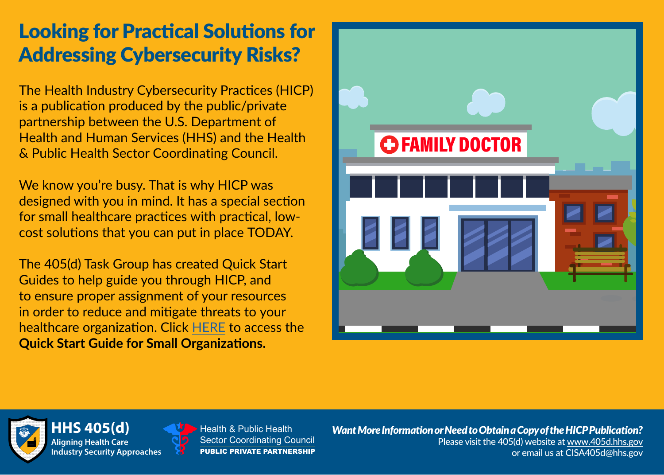## Looking for Practical Solutions for Addressing Cybersecurity Risks?

The Health Industry Cybersecurity Practices (HICP) is a publication produced by the public/private partnership between the U.S. Department of Health and Human Services (HHS) and the Health & Public Health Sector Coordinating Council.

We know you're busy. That is why HICP was designed with you in mind. It has a special section for small healthcare practices with practical, lowcost solutions that you can put in place TODAY.

The 405(d) Task Group has created Quick Start Guides to help guide you through HICP, and to ensure proper assignment of your resources in order to reduce and mitigate threats to your healthcare organization. Click [HERE](https://mcusercontent.com/f758a61addf9399176e6a0c3a/files/6863b447-5e6d-4b09-b7cc-7f28dd5fd3dc/405d_Quick_Start_Guides_for_Small_Practices_Official_Document.02.pdf?utm_source=Unknown+List&utm_campaign=1bd67ede9e-EMAIL_CAMPAIGN_2020_09_28_04_10&utm_medium=email&utm_term=0_-1bd67ede9e-&mc_cid=1bd67ede9e&mc_eid=[UNIQID]) to access the **Quick Start Guide for Small Organizations.** 





**Aligning Health Care Industry Security Approaches** 

**HS 405(d) CONDENSE Health & Public Health** Sector Coordinating Council PUBLIC PRIVATE PARTNERSHIP

*Want More Information orNeed to Obtain a Copy of the HICP Publication?*  Please visit the 405(d) website a[t www.405d](http://www.phe.gov/405d).hhs.gov or email us at [CISA405d@hhs.gov](mailto:CISA405d@hhs.gov)